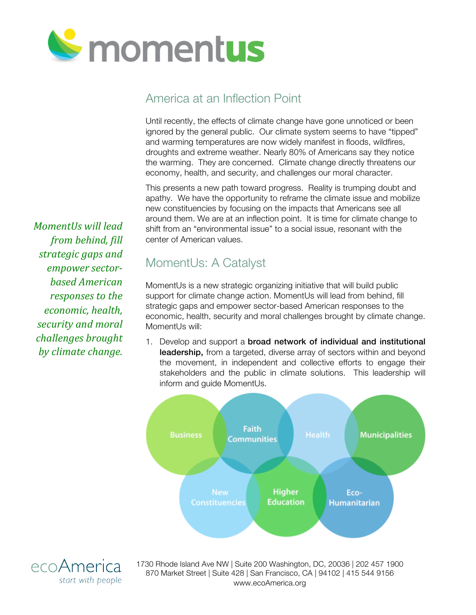

## America at an Inflection Point

Until recently, the effects of climate change have gone unnoticed or been ignored by the general public. Our climate system seems to have "tipped" and warming temperatures are now widely manifest in floods, wildfires, droughts and extreme weather. Nearly 80% of Americans say they notice the warming. They are concerned. Climate change directly threatens our economy, health, and security, and challenges our moral character.

This presents a new path toward progress. Reality is trumping doubt and apathy. We have the opportunity to reframe the climate issue and mobilize new constituencies by focusing on the impacts that Americans see all around them. We are at an inflection point. It is time for climate change to shift from an "environmental issue" to a social issue, resonant with the center of American values.

MomentUs: A Catalyst

MomentUs is a new strategic organizing initiative that will build public support for climate change action. MomentUs will lead from behind, fill strategic gaps and empower sector-based American responses to the economic, health, security and moral challenges brought by climate change. MomentUs will:

1. Develop and support a broad network of individual and institutional leadership, from a targeted, diverse array of sectors within and beyond the movement, in independent and collective efforts to engage their stakeholders and the public in climate solutions. This leadership will inform and guide MomentUs.



*from behind, fill strategic gaps and* empower sector*based American responses to the economic, health, security and moral challenges brought by climate change.*

*MomentUs will lead* 



1730 Rhode Island Ave NW | Suite 200 Washington, DC, 20036 | 202 457 1900 870 Market Street | Suite 428 | San Francisco, CA | 94102 | 415 544 9156 www.ecoAmerica.org